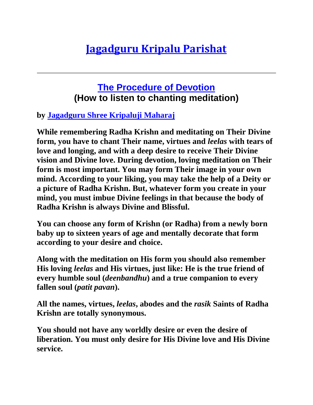## **[Jagadguru Kripalu Parishat](http://www.jkp.org/)**

## **[The Procedure of Devotion](http://www.barsanadham.org/chanting-how-to-listen.html) (How to listen to chanting meditation)**

## **by [Jagadguru Shree Kripaluji Maharaj](http://www.jkp.org/jagadguru_kripaluji/index.html)**

**While remembering Radha Krishn and meditating on Their Divine form, you have to chant Their name, virtues and** *leelas* **with tears of love and longing, and with a deep desire to receive Their Divine vision and Divine love. During devotion, loving meditation on Their form is most important. You may form Their image in your own mind. According to your liking, you may take the help of a Deity or a picture of Radha Krishn. But, whatever form you create in your mind, you must imbue Divine feelings in that because the body of Radha Krishn is always Divine and Blissful.**

**You can choose any form of Krishn (or Radha) from a newly born baby up to sixteen years of age and mentally decorate that form according to your desire and choice.**

**Along with the meditation on His form you should also remember His loving** *leelas* **and His virtues, just like: He is the true friend of every humble soul (***deenbandhu***) and a true companion to every fallen soul (***patit pavan***).**

**All the names, virtues,** *leelas***, abodes and the** *rasik* **Saints of Radha Krishn are totally synonymous.**

**You should not have any worldly desire or even the desire of liberation. You must only desire for His Divine love and His Divine service.**